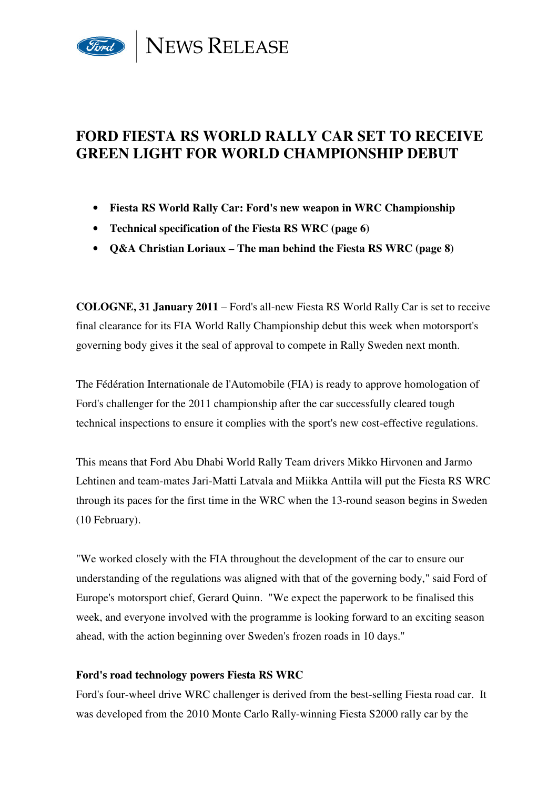

# **FORD FIESTA RS WORLD RALLY CAR SET TO RECEIVE GREEN LIGHT FOR WORLD CHAMPIONSHIP DEBUT**

- **Fiesta RS World Rally Car: Ford's new weapon in WRC Championship**
- **Technical specification of the Fiesta RS WRC (page 6)**
- **Q&A Christian Loriaux The man behind the Fiesta RS WRC (page 8)**

**COLOGNE, 31 January 2011** – Ford's all-new Fiesta RS World Rally Car is set to receive final clearance for its FIA World Rally Championship debut this week when motorsport's governing body gives it the seal of approval to compete in Rally Sweden next month.

The Fédération Internationale de l'Automobile (FIA) is ready to approve homologation of Ford's challenger for the 2011 championship after the car successfully cleared tough technical inspections to ensure it complies with the sport's new cost-effective regulations.

This means that Ford Abu Dhabi World Rally Team drivers Mikko Hirvonen and Jarmo Lehtinen and team-mates Jari-Matti Latvala and Miikka Anttila will put the Fiesta RS WRC through its paces for the first time in the WRC when the 13-round season begins in Sweden (10 February).

"We worked closely with the FIA throughout the development of the car to ensure our understanding of the regulations was aligned with that of the governing body," said Ford of Europe's motorsport chief, Gerard Quinn. "We expect the paperwork to be finalised this week, and everyone involved with the programme is looking forward to an exciting season ahead, with the action beginning over Sweden's frozen roads in 10 days."

## **Ford's road technology powers Fiesta RS WRC**

Ford's four-wheel drive WRC challenger is derived from the best-selling Fiesta road car. It was developed from the 2010 Monte Carlo Rally-winning Fiesta S2000 rally car by the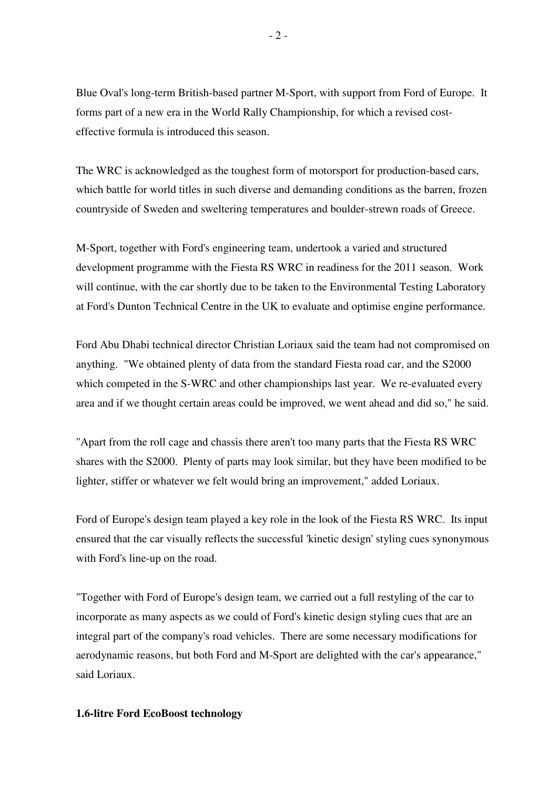Blue Oval's long-term British-based partner M-Sport, with support from Ford of Europe. It forms part of a new era in the World Rally Championship, for which a revised costeffective formula is introduced this season.

The WRC is acknowledged as the toughest form of motorsport for production-based cars, which battle for world titles in such diverse and demanding conditions as the barren, frozen countryside of Sweden and sweltering temperatures and boulder-strewn roads of Greece.

M-Sport, together with Ford's engineering team, undertook a varied and structured development programme with the Fiesta RS WRC in readiness for the 2011 season. Work will continue, with the car shortly due to be taken to the Environmental Testing Laboratory at Ford's Dunton Technical Centre in the UK to evaluate and optimise engine performance.

Ford Abu Dhabi technical director Christian Loriaux said the team had not compromised on anything. "We obtained plenty of data from the standard Fiesta road car, and the S2000 which competed in the S-WRC and other championships last year. We re-evaluated every area and if we thought certain areas could be improved, we went ahead and did so," he said.

"Apart from the roll cage and chassis there aren't too many parts that the Fiesta RS WRC shares with the S2000. Plenty of parts may look similar, but they have been modified to be lighter, stiffer or whatever we felt would bring an improvement," added Loriaux.

Ford of Europe's design team played a key role in the look of the Fiesta RS WRC. Its input ensured that the car visually reflects the successful 'kinetic design' styling cues synonymous with Ford's line-up on the road.

"Together with Ford of Europe's design team, we carried out a full restyling of the car to incorporate as many aspects as we could of Ford's kinetic design styling cues that are an integral part of the company's road vehicles. There are some necessary modifications for aerodynamic reasons, but both Ford and M-Sport are delighted with the car's appearance," said Loriaux.

### **1.6-litre Ford EcoBoost technology**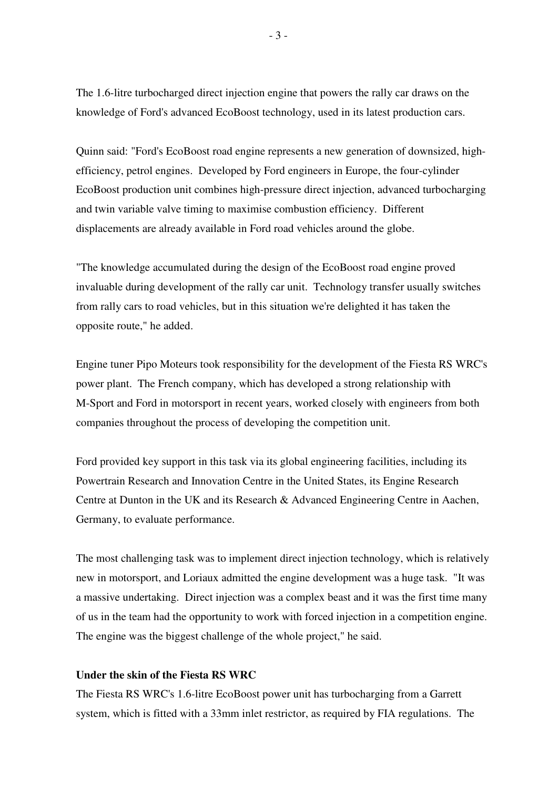The 1.6-litre turbocharged direct injection engine that powers the rally car draws on the knowledge of Ford's advanced EcoBoost technology, used in its latest production cars.

Quinn said: "Ford's EcoBoost road engine represents a new generation of downsized, highefficiency, petrol engines. Developed by Ford engineers in Europe, the four-cylinder EcoBoost production unit combines high-pressure direct injection, advanced turbocharging and twin variable valve timing to maximise combustion efficiency. Different displacements are already available in Ford road vehicles around the globe.

"The knowledge accumulated during the design of the EcoBoost road engine proved invaluable during development of the rally car unit. Technology transfer usually switches from rally cars to road vehicles, but in this situation we're delighted it has taken the opposite route," he added.

Engine tuner Pipo Moteurs took responsibility for the development of the Fiesta RS WRC's power plant. The French company, which has developed a strong relationship with M-Sport and Ford in motorsport in recent years, worked closely with engineers from both companies throughout the process of developing the competition unit.

Ford provided key support in this task via its global engineering facilities, including its Powertrain Research and Innovation Centre in the United States, its Engine Research Centre at Dunton in the UK and its Research & Advanced Engineering Centre in Aachen, Germany, to evaluate performance.

The most challenging task was to implement direct injection technology, which is relatively new in motorsport, and Loriaux admitted the engine development was a huge task. "It was a massive undertaking. Direct injection was a complex beast and it was the first time many of us in the team had the opportunity to work with forced injection in a competition engine. The engine was the biggest challenge of the whole project," he said.

## **Under the skin of the Fiesta RS WRC**

The Fiesta RS WRC's 1.6-litre EcoBoost power unit has turbocharging from a Garrett system, which is fitted with a 33mm inlet restrictor, as required by FIA regulations. The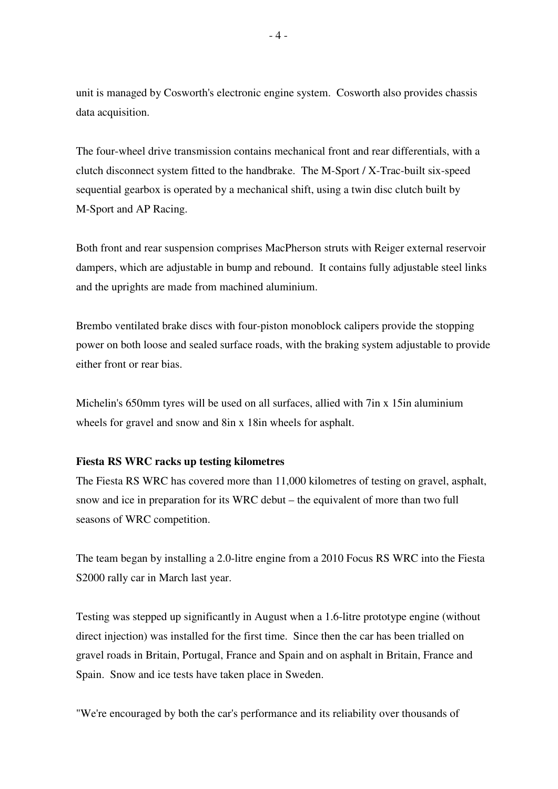unit is managed by Cosworth's electronic engine system. Cosworth also provides chassis data acquisition.

The four-wheel drive transmission contains mechanical front and rear differentials, with a clutch disconnect system fitted to the handbrake. The M-Sport / X-Trac-built six-speed sequential gearbox is operated by a mechanical shift, using a twin disc clutch built by M-Sport and AP Racing.

Both front and rear suspension comprises MacPherson struts with Reiger external reservoir dampers, which are adjustable in bump and rebound. It contains fully adjustable steel links and the uprights are made from machined aluminium.

Brembo ventilated brake discs with four-piston monoblock calipers provide the stopping power on both loose and sealed surface roads, with the braking system adjustable to provide either front or rear bias.

Michelin's 650mm tyres will be used on all surfaces, allied with 7in x 15in aluminium wheels for gravel and snow and 8in x 18in wheels for asphalt.

### **Fiesta RS WRC racks up testing kilometres**

The Fiesta RS WRC has covered more than 11,000 kilometres of testing on gravel, asphalt, snow and ice in preparation for its WRC debut – the equivalent of more than two full seasons of WRC competition.

The team began by installing a 2.0-litre engine from a 2010 Focus RS WRC into the Fiesta S2000 rally car in March last year.

Testing was stepped up significantly in August when a 1.6-litre prototype engine (without direct injection) was installed for the first time. Since then the car has been trialled on gravel roads in Britain, Portugal, France and Spain and on asphalt in Britain, France and Spain. Snow and ice tests have taken place in Sweden.

"We're encouraged by both the car's performance and its reliability over thousands of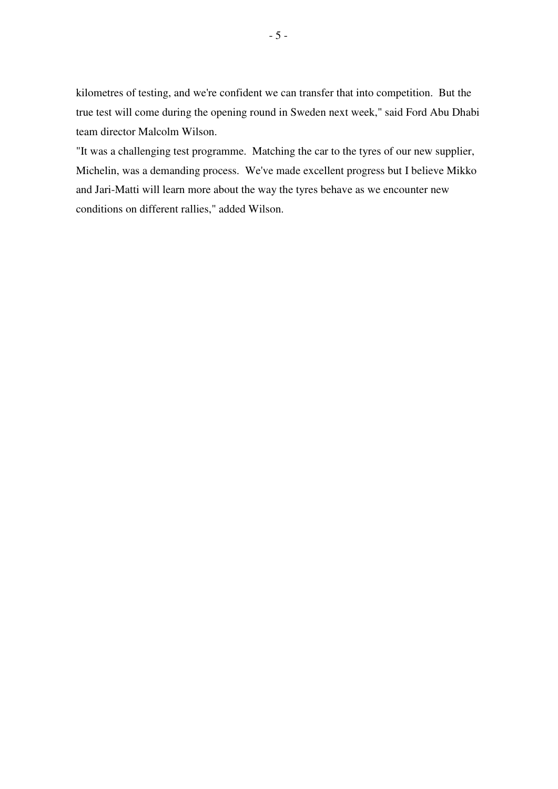kilometres of testing, and we're confident we can transfer that into competition. But the true test will come during the opening round in Sweden next week," said Ford Abu Dhabi team director Malcolm Wilson.

"It was a challenging test programme. Matching the car to the tyres of our new supplier, Michelin, was a demanding process. We've made excellent progress but I believe Mikko and Jari-Matti will learn more about the way the tyres behave as we encounter new conditions on different rallies," added Wilson.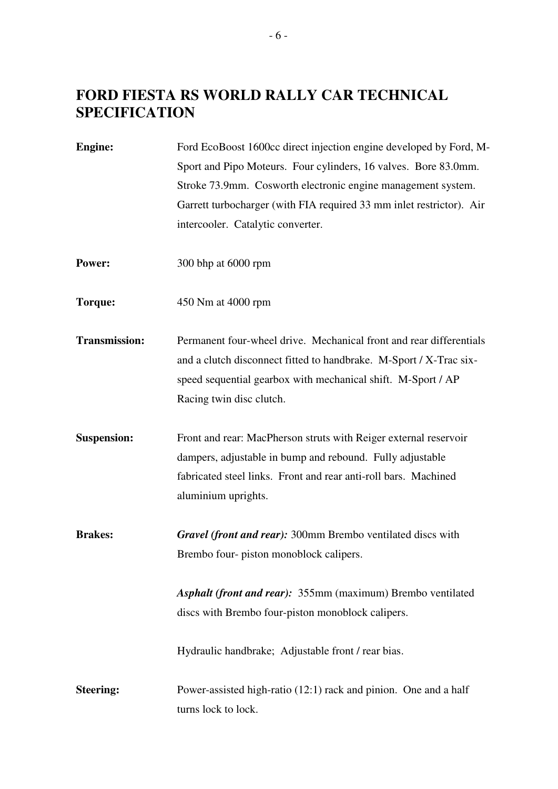# **FORD FIESTA RS WORLD RALLY CAR TECHNICAL SPECIFICATION**

**Engine:** Ford EcoBoost 1600cc direct injection engine developed by Ford, M-Sport and Pipo Moteurs. Four cylinders, 16 valves. Bore 83.0mm. Stroke 73.9mm. Cosworth electronic engine management system. Garrett turbocharger (with FIA required 33 mm inlet restrictor). Air intercooler. Catalytic converter.

- **Power:** 300 bhp at 6000 rpm
- **Torque:** 450 Nm at 4000 rpm
- **Transmission:** Permanent four-wheel drive. Mechanical front and rear differentials and a clutch disconnect fitted to handbrake. M-Sport / X-Trac sixspeed sequential gearbox with mechanical shift. M-Sport / AP Racing twin disc clutch.
- **Suspension:** Front and rear: MacPherson struts with Reiger external reservoir dampers, adjustable in bump and rebound. Fully adjustable fabricated steel links. Front and rear anti-roll bars. Machined aluminium uprights.
- **Brakes:** *Gravel (front and rear):* 300mm Brembo ventilated discs with Brembo four- piston monoblock calipers.

*Asphalt (front and rear):* 355mm (maximum) Brembo ventilated discs with Brembo four-piston monoblock calipers.

Hydraulic handbrake; Adjustable front / rear bias.

**Steering:** Power-assisted high-ratio (12:1) rack and pinion. One and a half turns lock to lock.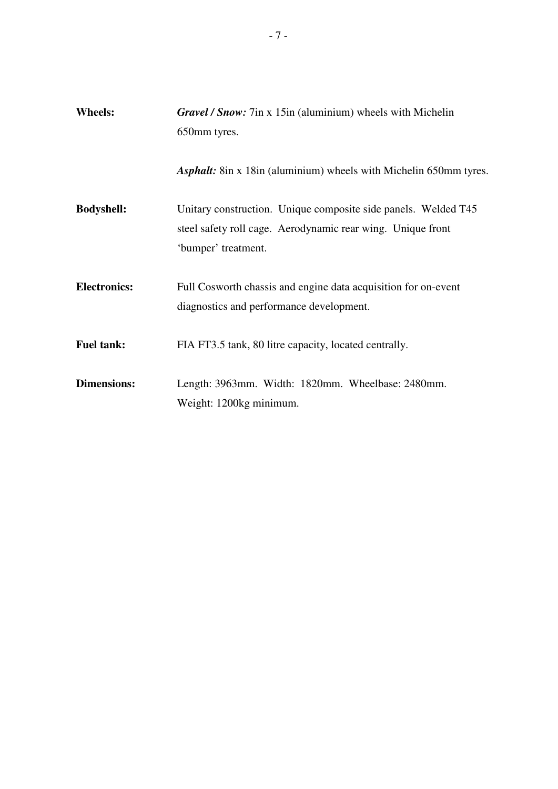| <b>Wheels:</b>      | <b>Gravel / Snow:</b> 7in x 15in (aluminium) wheels with Michelin<br>650mm tyres.                                                                    |  |  |
|---------------------|------------------------------------------------------------------------------------------------------------------------------------------------------|--|--|
|                     |                                                                                                                                                      |  |  |
|                     | <b>Asphalt:</b> 8in x 18in (aluminium) wheels with Michelin 650mm tyres.                                                                             |  |  |
| <b>Bodyshell:</b>   | Unitary construction. Unique composite side panels. Welded T45<br>steel safety roll cage. Aerodynamic rear wing. Unique front<br>'bumper' treatment. |  |  |
| <b>Electronics:</b> | Full Cosworth chassis and engine data acquisition for on-event<br>diagnostics and performance development.                                           |  |  |
| <b>Fuel tank:</b>   | FIA FT3.5 tank, 80 litre capacity, located centrally.                                                                                                |  |  |
| <b>Dimensions:</b>  | Length: 3963mm. Width: 1820mm. Wheelbase: 2480mm.<br>Weight: 1200kg minimum.                                                                         |  |  |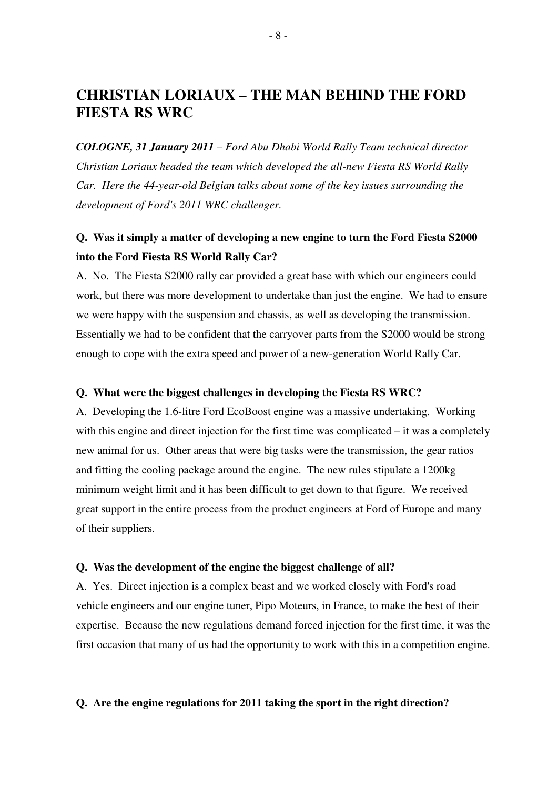# **CHRISTIAN LORIAUX – THE MAN BEHIND THE FORD FIESTA RS WRC**

*COLOGNE, 31 January 2011 – Ford Abu Dhabi World Rally Team technical director Christian Loriaux headed the team which developed the all-new Fiesta RS World Rally Car. Here the 44-year-old Belgian talks about some of the key issues surrounding the development of Ford's 2011 WRC challenger.* 

## **Q. Was it simply a matter of developing a new engine to turn the Ford Fiesta S2000 into the Ford Fiesta RS World Rally Car?**

A. No. The Fiesta S2000 rally car provided a great base with which our engineers could work, but there was more development to undertake than just the engine. We had to ensure we were happy with the suspension and chassis, as well as developing the transmission. Essentially we had to be confident that the carryover parts from the S2000 would be strong enough to cope with the extra speed and power of a new-generation World Rally Car.

### **Q. What were the biggest challenges in developing the Fiesta RS WRC?**

A. Developing the 1.6-litre Ford EcoBoost engine was a massive undertaking. Working with this engine and direct injection for the first time was complicated – it was a completely new animal for us. Other areas that were big tasks were the transmission, the gear ratios and fitting the cooling package around the engine. The new rules stipulate a 1200kg minimum weight limit and it has been difficult to get down to that figure. We received great support in the entire process from the product engineers at Ford of Europe and many of their suppliers.

#### **Q. Was the development of the engine the biggest challenge of all?**

A. Yes. Direct injection is a complex beast and we worked closely with Ford's road vehicle engineers and our engine tuner, Pipo Moteurs, in France, to make the best of their expertise. Because the new regulations demand forced injection for the first time, it was the first occasion that many of us had the opportunity to work with this in a competition engine.

## **Q. Are the engine regulations for 2011 taking the sport in the right direction?**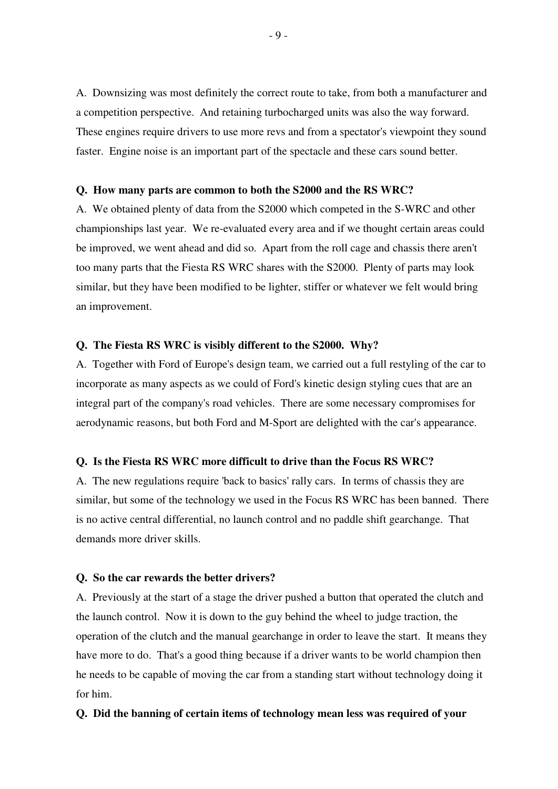A. Downsizing was most definitely the correct route to take, from both a manufacturer and a competition perspective. And retaining turbocharged units was also the way forward. These engines require drivers to use more revs and from a spectator's viewpoint they sound faster. Engine noise is an important part of the spectacle and these cars sound better.

## **Q. How many parts are common to both the S2000 and the RS WRC?**

A. We obtained plenty of data from the S2000 which competed in the S-WRC and other championships last year. We re-evaluated every area and if we thought certain areas could be improved, we went ahead and did so. Apart from the roll cage and chassis there aren't too many parts that the Fiesta RS WRC shares with the S2000. Plenty of parts may look similar, but they have been modified to be lighter, stiffer or whatever we felt would bring an improvement.

## **Q. The Fiesta RS WRC is visibly different to the S2000. Why?**

A. Together with Ford of Europe's design team, we carried out a full restyling of the car to incorporate as many aspects as we could of Ford's kinetic design styling cues that are an integral part of the company's road vehicles. There are some necessary compromises for aerodynamic reasons, but both Ford and M-Sport are delighted with the car's appearance.

#### **Q. Is the Fiesta RS WRC more difficult to drive than the Focus RS WRC?**

A. The new regulations require 'back to basics' rally cars. In terms of chassis they are similar, but some of the technology we used in the Focus RS WRC has been banned. There is no active central differential, no launch control and no paddle shift gearchange. That demands more driver skills.

#### **Q. So the car rewards the better drivers?**

A. Previously at the start of a stage the driver pushed a button that operated the clutch and the launch control. Now it is down to the guy behind the wheel to judge traction, the operation of the clutch and the manual gearchange in order to leave the start. It means they have more to do. That's a good thing because if a driver wants to be world champion then he needs to be capable of moving the car from a standing start without technology doing it for him.

### **Q. Did the banning of certain items of technology mean less was required of your**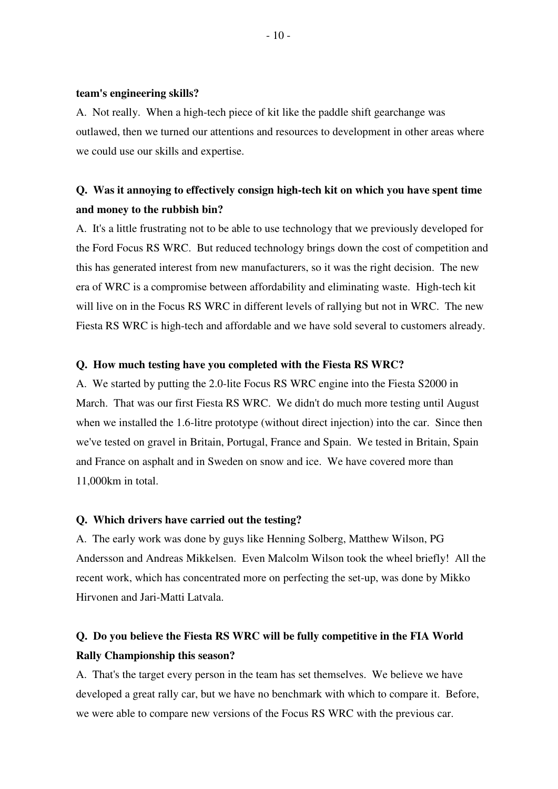#### **team's engineering skills?**

A. Not really. When a high-tech piece of kit like the paddle shift gearchange was outlawed, then we turned our attentions and resources to development in other areas where we could use our skills and expertise.

## **Q. Was it annoying to effectively consign high-tech kit on which you have spent time and money to the rubbish bin?**

A. It's a little frustrating not to be able to use technology that we previously developed for the Ford Focus RS WRC. But reduced technology brings down the cost of competition and this has generated interest from new manufacturers, so it was the right decision. The new era of WRC is a compromise between affordability and eliminating waste. High-tech kit will live on in the Focus RS WRC in different levels of rallying but not in WRC. The new Fiesta RS WRC is high-tech and affordable and we have sold several to customers already.

## **Q. How much testing have you completed with the Fiesta RS WRC?**

A. We started by putting the 2.0-lite Focus RS WRC engine into the Fiesta S2000 in March. That was our first Fiesta RS WRC. We didn't do much more testing until August when we installed the 1.6-litre prototype (without direct injection) into the car. Since then we've tested on gravel in Britain, Portugal, France and Spain. We tested in Britain, Spain and France on asphalt and in Sweden on snow and ice. We have covered more than 11,000km in total.

### **Q. Which drivers have carried out the testing?**

A. The early work was done by guys like Henning Solberg, Matthew Wilson, PG Andersson and Andreas Mikkelsen. Even Malcolm Wilson took the wheel briefly! All the recent work, which has concentrated more on perfecting the set-up, was done by Mikko Hirvonen and Jari-Matti Latvala.

## **Q. Do you believe the Fiesta RS WRC will be fully competitive in the FIA World Rally Championship this season?**

A. That's the target every person in the team has set themselves. We believe we have developed a great rally car, but we have no benchmark with which to compare it. Before, we were able to compare new versions of the Focus RS WRC with the previous car.